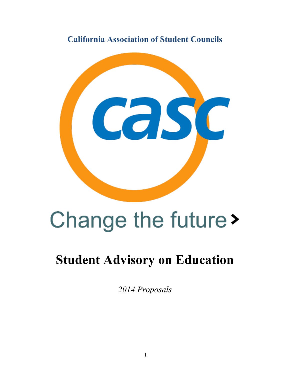**California Association of Student Councils**



# Change the future >

# **Student Advisory on Education**

*2014 Proposals*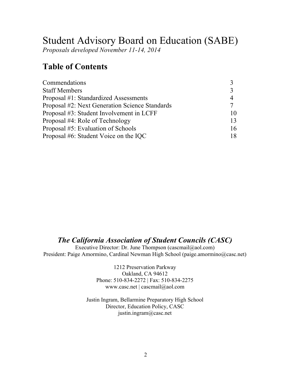# Student Advisory Board on Education (SABE)

*Proposals developed November 11-14, 2014*

# **Table of Contents**

| Commendations                                  |                |
|------------------------------------------------|----------------|
| <b>Staff Members</b>                           | $\mathbf{R}$   |
| Proposal #1: Standardized Assessments          | $\overline{4}$ |
| Proposal #2: Next Generation Science Standards |                |
| Proposal #3: Student Involvement in LCFF       | $\mathbf{10}$  |
| Proposal #4: Role of Technology                | 13             |
| Proposal #5: Evaluation of Schools             | 16             |
| Proposal #6: Student Voice on the IQC          | 18             |

# *The California Association of Student Councils (CASC)*

Executive Director: Dr. June Thompson (cascmail@aol.com) President: Paige Amormino, Cardinal Newman High School (paige.amormino@casc.net)

> 1212 Preservation Parkway Oakland, CA 94612 Phone: 510-834-2272 | Fax: 510-834-2275 www.casc.net | cascmail@aol.com

Justin Ingram, Bellarmine Preparatory High School Director, Education Policy, CASC justin.ingram@casc.net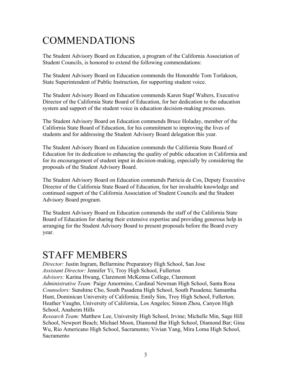# COMMENDATIONS

The Student Advisory Board on Education, a program of the California Association of Student Councils, is honored to extend the following commendations:

The Student Advisory Board on Education commends the Honorable Tom Torlakson, State Superintendent of Public Instruction, for supporting student voice.

The Student Advisory Board on Education commends Karen Stapf Walters, Executive Director of the California State Board of Education, for her dedication to the education system and support of the student voice in education decision-making processes.

The Student Advisory Board on Education commends Bruce Holaday, member of the California State Board of Education, for his commitment to improving the lives of students and for addressing the Student Advisory Board delegation this year.

The Student Advisory Board on Education commends the California State Board of Education for its dedication to enhancing the quality of public education in California and for its encouragement of student input in decision-making, especially by considering the proposals of the Student Advisory Board.

The Student Advisory Board on Education commends Patricia de Cos, Deputy Executive Director of the California State Board of Education, for her invaluable knowledge and continued support of the California Association of Student Councils and the Student Advisory Board program.

The Student Advisory Board on Education commends the staff of the California State Board of Education for sharing their extensive expertise and providing generous help in arranging for the Student Advisory Board to present proposals before the Board every year.

# STAFF MEMBERS

*Director:* Justin Ingram, Bellarmine Preparatory High School, San Jose *Assistant Director:* Jennifer Yi, Troy High School, Fullerton *Advisors:* Karina Hwang, Claremont McKenna College, Claremont *Administrative Team:* Paige Amormino, Cardinal Newman High School, Santa Rosa *Counselors:* Sunshine Cho, South Pasadena High School, South Pasadena; Samantha Hunt, Dominican University of California; Emily Sim, Troy High School, Fullerton; Heather Vaughn, University of California, Los Angeles; Simon Zhou, Canyon High School, Anaheim Hills

*Research Team:* Matthew Lee, University High School, Irvine; Michelle Min, Sage Hill School, Newport Beach; Michael Moon, Diamond Bar High School, Diamond Bar; Gina Wu, Rio Americano High School, Sacramento; Vivian Yang, Mira Loma High School, Sacramento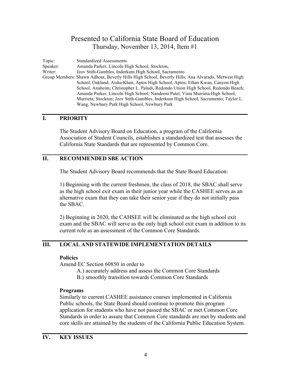Topic: Standardized Assessments Speaker: Amanda Parker, Lincoln High School, Stockton, Writer: Jzov Stith-Gambles, Inderkum High School, Sacramento Group Members: Shawn Adhout, Beverly Hills High School, Beverly Hills; Ana Alvarado, Metwest High School, Oakland; Aisha Khan, Aptos High School, Aptos; Ethan Kwan, Canyon High School, Anaheim; Christopher L. Paludi, Redondo Union High School, Redondo Beach; Amanda Parker, Lincoln High School; Nandeeni Patel, Vista Murrieta High School, Murrieta; Stockton; Jzov Stith-Gambles, Inderkum High School, Sacramento; Taylor L. Wang, Newbury Park High School, Newbury Park

#### **I. PRIORITY**

The Student Advisory Board on Education, a program of the California Association of Student Councils, establishes a standardized test that assesses the California State Standards that are represented by Common Core.

#### **II. RECOMMENDED SBE ACTION**

The Student Advisory Board recommends that the State Board Education:

1) Beginning with the current freshmen, the class of 2018, the SBAC shall serve as the high school exit exam in their junior year while the CASHEE serves as an alternative exam that they can take their senior year if they do not initially pass the SBAC.

2) Beginning in 2020, the CAHSEE will be eliminated as the high school exit exam and the SBAC will serve as the only high school exit exam in addition to its current role as an assessment of the Common Core Standards.

# **III. LOCAL AND STATEWIDE IMPLEMENTATION DETAILS**

#### **Policies**

Amend EC Section 60850 in order to

- A.) accurately address and assess the Common Core Standards
- B.) smoothly transition towards Common Core Standards

#### **Programs**

Similarly to current CASHEE assistance courses implemented in California Public schools, the State Board should continue to promote this program application for students who have not passed the SBAC or met Common Core Standards in order to assure that Common Core standards are met by students and core skills are attained by the students of the California Public Education System.

#### **IV. KEY ISSUES**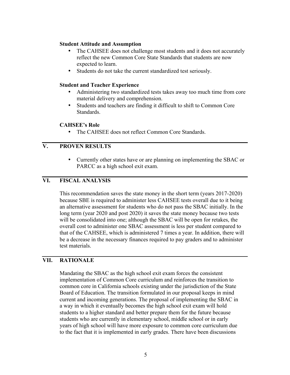#### **Student Attitude and Assumption**

- The CAHSEE does not challenge most students and it does not accurately reflect the new Common Core State Standards that students are now expected to learn.
- Students do not take the current standardized test seriously.

#### **Student and Teacher Experience**

- Administering two standardized tests takes away too much time from core material delivery and comprehension.
- Students and teachers are finding it difficult to shift to Common Core Standards.

#### **CAHSEE's Role**

• The CAHSEE does not reflect Common Core Standards

# **V. PROVEN RESULTS**

• Currently other states have or are planning on implementing the SBAC or PARCC as a high school exit exam.

# **VI. FISCAL ANALYSIS**

This recommendation saves the state money in the short term (years 2017-2020) because SBE is required to administer less CAHSEE tests overall due to it being an alternative assessment for students who do not pass the SBAC initially. In the long term (year 2020 and post 2020) it saves the state money because two tests will be consolidated into one; although the SBAC will be open for retakes, the overall cost to administer one SBAC assessment is less per student compared to that of the CAHSEE, which is administered 7 times a year. In addition, there will be a decrease in the necessary finances required to pay graders and to administer test materials.

#### **VII. RATIONALE**

Mandating the SBAC as the high school exit exam forces the consistent implementation of Common Core curriculum and reinforces the transition to common core in California schools existing under the jurisdiction of the State Board of Education. The transition formulated in our proposal keeps in mind current and incoming generations. The proposal of implementing the SBAC in a way in which it eventually becomes the high school exit exam will hold students to a higher standard and better prepare them for the future because students who are currently in elementary school, middle school or in early years of high school will have more exposure to common core curriculum due to the fact that it is implemented in early grades. There have been discussions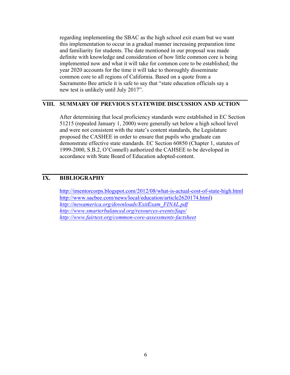regarding implementing the SBAC as the high school exit exam but we want this implementation to occur in a gradual manner increasing preparation time and familiarity for students. The date mentioned in our proposal was made definite with knowledge and consideration of how little common core is being implemented now and what it will take for common core to be established; the year 2020 accounts for the time it will take to thoroughly disseminate common core to all regions of California. Based on a quote from a Sacramento Bee article it is safe to say that "state education officials say a new test is unlikely until July 2017".

#### **VIII. SUMMARY OF PREVIOUS STATEWIDE DISCUSSION AND ACTION**

After determining that local proficiency standards were established in EC Section 51215 (repealed January 1, 2000) were generally set below a high school level and were not consistent with the state's content standards, the Legislature proposed the CASHEE in order to ensure that pupils who graduate can demonstrate effective state standards. EC Section 60850 (Chapter 1, statutes of 1999-2000, S.B.2, O'Connell) authorized the CAHSEE to be developed in accordance with State Board of Education adopted-content.

# **IX. BIBLIOGRAPHY**

http://imentorcorps.blogspot.com/2012/08/what-is-actual-cost-of-state-high.html http://www.sacbee.com/news/local/education/article2620174.html) *http://newamerica.org/downloads/ExitExam\_FINAL.pdf http://www.smarterbalanced.org/resources-events/faqs/ http://www.fairtest.org/common-core-assessments-factsheet*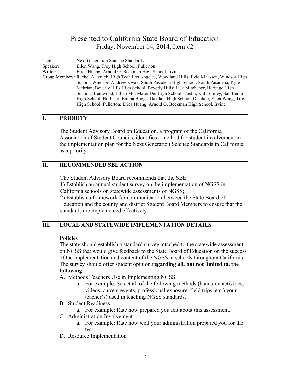Topic: Next Generation Science Standards Speaker: Ellen Wang, Troy High School, Fullerton Writer: Erica Huang, Arnold O. Beckman High School, Irvine Group Members: Rachel Alaynick, High Tech Los Angeles, Woodland Hills; Evie Klaassen, Windsor High School, Windsor; Andrew Kwak, South Pasadena High School, South Pasadena; Kyle Mehrian, Beverly Hills High School, Beverly Hills; Jack Mitchener, Heritage High School, Brentwood; Julian Mo, Mater Dei High School, Tustin; Kali Smiley, San Benito High School, Hollister; Emma Boggs, Oakdale High School, Oakdale; Ellen Wang, Troy High School, Fullerton; Erica Huang, Arnold O. Beckman High School, Irvine

#### **I. PRIORITY**

The Student Advisory Board on Education, a program of the California Association of Student Councils, identifies a method for student involvement in the implementation plan for the Next Generation Science Standards in California as a priority.

#### **II. RECOMMENDED SBE ACTION**

The Student Advisory Board recommends that the SBE:

1) Establish an annual student survey on the implementation of NGSS in California schools on statewide assessments of NGSS;

2) Establish a framework for communication between the State Board of Education and the county and district Student Board Members to ensure that the standards are implemented effectively.

# **III. LOCAL AND STATEWIDE IMPLEMENTATION DETAILS**

#### **Policies**

The state should establish a standard survey attached to the statewide assessment on NGSS that would give feedback to the State Board of Education on the success of the implementation and content of the NGSS in schools throughout California. The survey should offer student opinion **regarding all, but not limited to, the following:** 

- A. Methods Teachers Use in Implementing NGSS
	- a. For example: Select all of the following methods (hands-on activities, videos, current events, professional exposure, field trips, etc.) your teacher(s) used in teaching NGSS standards.
- B. Student Readiness
	- a. For example: Rate how prepared you felt about this assessment.
- C. Administration Involvement
	- a. For example: Rate how well your administration prepared you for the test.
- D. Resource Implementation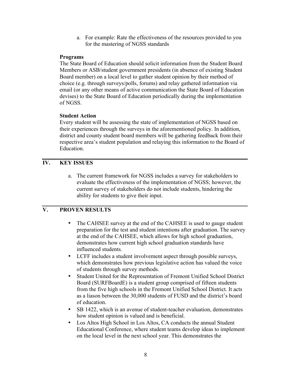a. For example: Rate the effectiveness of the resources provided to you for the mastering of NGSS standards

#### **Programs**

The State Board of Education should solicit information from the Student Board Members or ASB/student government presidents (in absence of existing Student Board member) on a local level to gather student opinion by their method of choice (e.g. through surveys/polls, forums) and relay gathered information via email (or any other means of active communication the State Board of Education devises) to the State Board of Education periodically during the implementation of NGSS.

#### **Student Action**

Every student will be assessing the state of implementation of NGSS based on their experiences through the surveys in the aforementioned policy. In addition, district and county student board members will be gathering feedback from their respective area's student population and relaying this information to the Board of Education.

# **IV. KEY ISSUES**

a. The current framework for NGSS includes a survey for stakeholders to evaluate the effectiveness of the implementation of NGSS; however, the current survey of stakeholders do not include students, hindering the ability for students to give their input.

# **V. PROVEN RESULTS**

- The CAHSEE survey at the end of the CAHSEE is used to gauge student preparation for the test and student intentions after graduation. The survey at the end of the CAHSEE, which allows for high school graduation, demonstrates how current high school graduation standards have influenced students.
- LCFF includes a student involvement aspect through possible surveys, which demonstrates how previous legislative action has valued the voice of students through survey methods.
- Student United for the Representation of Fremont Unified School District Board (SURFBoardE) is a student group comprised of fifteen students from the five high schools in the Fremont Unified School District. It acts as a liason between the 30,000 students of FUSD and the district's board of education.
- SB 1422, which is an avenue of student-teacher evaluation, demonstrates how student opinion is valued and is beneficial.
- Los Altos High School in Los Altos, CA conducts the annual Student Educational Conference, where student teams develop ideas to implement on the local level in the next school year. This demonstrates the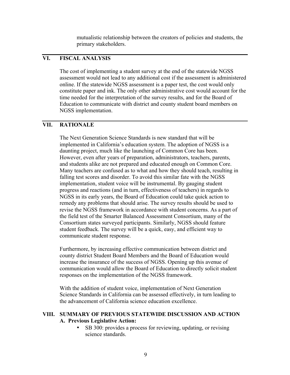mutualistic relationship between the creators of policies and students, the primary stakeholders.

# **VI. FISCAL ANALYSIS**

The cost of implementing a student survey at the end of the statewide NGSS assessment would not lead to any additional cost if the assessment is administered online. If the statewide NGSS assessment is a paper test, the cost would only constitute paper and ink. The only other administrative cost would account for the time needed for the interpretation of the survey results, and for the Board of Education to communicate with district and county student board members on NGSS implementation.

#### **VII. RATIONALE**

The Next Generation Science Standards is new standard that will be implemented in California's education system. The adoption of NGSS is a daunting project, much like the launching of Common Core has been. However, even after years of preparation, administrators, teachers, parents, and students alike are not prepared and educated enough on Common Core. Many teachers are confused as to what and how they should teach, resulting in falling test scores and disorder. To avoid this similar fate with the NGSS implementation, student voice will be instrumental. By gauging student progress and reactions (and in turn, effectiveness of teachers) in regards to NGSS in its early years, the Board of Education could take quick action to remedy any problems that should arise. The survey results should be used to revise the NGSS framework in accordance with student concerns. As a part of the field test of the Smarter Balanced Assessment Consortium, many of the Consortium states surveyed participants. Similarly, NGSS should feature student feedback. The survey will be a quick, easy, and efficient way to communicate student response.

Furthermore, by increasing effective communication between district and county district Student Board Members and the Board of Education would increase the insurance of the success of NGSS. Opening up this avenue of communication would allow the Board of Education to directly solicit student responses on the implementation of the NGSS framework.

With the addition of student voice, implementation of Next Generation Science Standards in California can be assessed effectively, in turn leading to the advancement of California science education excellence.

#### **VIII. SUMMARY OF PREVIOUS STATEWIDE DISCUSSION AND ACTION A. Previous Legislative Action:**

• SB 300: provides a process for reviewing, updating, or revising science standards.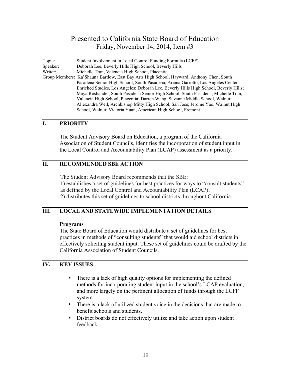Topic: Student Involvement in Local Control Funding Formula (LCFF) Speaker: Deborah Lee, Beverly Hills High School, Beverly Hills Writer: Michelle Tran, Valencia High School, Placentia Group Members: Ka'Shauna Bartlow, East Bay Arts High School, Hayward; Anthony Chen, South Pasadena Senior High School, South Pasadena; Ariana Garrotto, Los Angeles Center Enriched Studies, Los Angeles; Deborah Lee, Beverly Hills High School, Beverly Hills; Maya Roshandel, South Pasadena Senior High School, South Pasadena; Michelle Tran, Valencia High School, Placentia; Darren Wang, Suzanne Middle School, Walnut; Allexandra Weil, Archbishop Mitty High School, San Jose; Jerome Yao, Walnut High School, Walnut; Victoria Yuan, American High School, Fremont

#### **I. PRIORITY**

The Student Advisory Board on Education, a program of the California Association of Student Councils, identifies the incorporation of student input in the Local Control and Accountability Plan (LCAP) assessment as a priority.

#### **II. RECOMMENDED SBE ACTION**

The Student Advisory Board recommends that the SBE: 1) establishes a set of guidelines for best practices for ways to "consult students" as defined by the Local Control and Accountability Plan (LCAP); 2) distributes this set of guidelines to school districts throughout California

#### **III. LOCAL AND STATEWIDE IMPLEMENTATION DETAILS**

#### **Programs**

The State Board of Education would distribute a set of guidelines for best practices in methods of "consulting students" that would aid school districts in effectively soliciting student input. These set of guidelines could be drafted by the California Association of Student Councils.

#### **IV. KEY ISSUES**

- There is a lack of high quality options for implementing the defined methods for incorporating student input in the school's LCAP evaluation, and more largely on the pertinent allocation of funds through the LCFF system.
- There is a lack of utilized student voice in the decisions that are made to benefit schools and students.
- District boards do not effectively utilize and take action upon student feedback.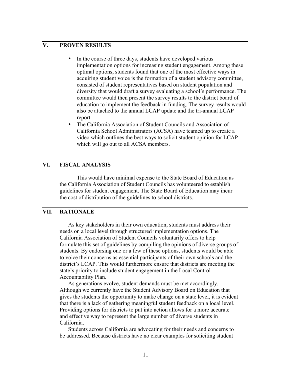# **V. PROVEN RESULTS**

- In the course of three days, students have developed various implementation options for increasing student engagement. Among these optimal options, students found that one of the most effective ways in acquiring student voice is the formation of a student advisory committee, consisted of student representatives based on student population and diversity that would draft a survey evaluating a school's performance. The committee would then present the survey results to the district board of education to implement the feedback in funding. The survey results would also be attached to the annual LCAP update and the tri-annual LCAP report.
- The California Association of Student Councils and Association of California School Administrators (ACSA) have teamed up to create a video which outlines the best ways to solicit student opinion for LCAP which will go out to all ACSA members.

# **VI. FISCAL ANALYSIS**

This would have minimal expense to the State Board of Education as the California Association of Student Councils has volunteered to establish guidelines for student engagement. The State Board of Education may incur the cost of distribution of the guidelines to school districts.

### **VII. RATIONALE**

As key stakeholders in their own education, students must address their needs on a local level through structured implementation options. The California Association of Student Councils voluntarily offers to help formulate this set of guidelines by compiling the opinions of diverse groups of students. By endorsing one or a few of these options, students would be able to voice their concerns as essential participants of their own schools and the district's LCAP. This would furthermore ensure that districts are meeting the state's priority to include student engagement in the Local Control Accountability Plan.

As generations evolve, student demands must be met accordingly. Although we currently have the Student Advisory Board on Education that gives the students the opportunity to make change on a state level, it is evident that there is a lack of gathering meaningful student feedback on a local level. Providing options for districts to put into action allows for a more accurate and effective way to represent the large number of diverse students in California.

Students across California are advocating for their needs and concerns to be addressed. Because districts have no clear examples for soliciting student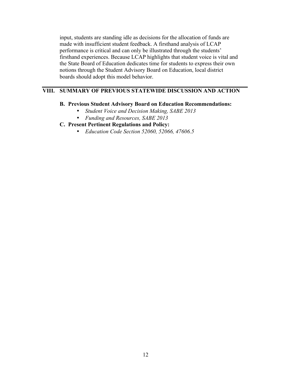input, students are standing idle as decisions for the allocation of funds are made with insufficient student feedback. A firsthand analysis of LCAP performance is critical and can only be illustrated through the students' firsthand experiences. Because LCAP highlights that student voice is vital and the State Board of Education dedicates time for students to express their own notions through the Student Advisory Board on Education, local district boards should adopt this model behavior.

#### **VIII. SUMMARY OF PREVIOUS STATEWIDE DISCUSSION AND ACTION**

#### **B. Previous Student Advisory Board on Education Recommendations:**

- *Student Voice and Decision Making, SABE 2013*
- *Funding and Resources, SABE 2013*

#### **C. Present Pertinent Regulations and Policy:**

• *Education Code Section 52060, 52066, 47606.5*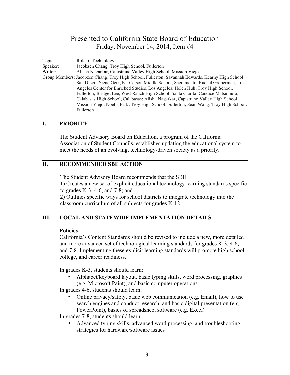Topic: Role of Technology Speaker: Jacobzen Chang, Troy High School, Fullerton Writer: Alisha Nagarkar, Capistrano Valley High School, Mission Viejo Group Members: Jacobzen Chang, Troy High School, Fullerton; Savannah Edwards, Kearny High School, San Diego; Siena Getz, Kit Carson Middle School, Sacramento; Rachel Groberman, Los Angeles Center for Enriched Studies, Los Angeles; Helen Huh, Troy High School, Fullerton; Bridget Lee, West Ranch High School, Santa Clarita; Candice Matsumura, Calabasas High School, Calabasas; Alisha Nagarkar, Capistrano Valley High School, Mission Viejo; Noella Park, Troy High School, Fullerton; Sean Wang, Troy High School, Fullerton

#### **I. PRIORITY**

The Student Advisory Board on Education, a program of the California Association of Student Councils, establishes updating the educational system to meet the needs of an evolving, technology-driven society as a priority.

#### **II. RECOMMENDED SBE ACTION**

The Student Advisory Board recommends that the SBE:

1) Creates a new set of explicit educational technology learning standards specific to grades K-3, 4-6, and 7-8; and

2) Outlines specific ways for school districts to integrate technology into the classroom curriculum of all subjects for grades K-12

# **III. LOCAL AND STATEWIDE IMPLEMENTATION DETAILS**

#### **Policies**

California's Content Standards should be revised to include a new, more detailed and more advanced set of technological learning standards for grades K-3, 4-6, and 7-8. Implementing these explicit learning standards will promote high school, college, and career readiness.

In grades K-3, students should learn:

• Alphabet/keyboard layout, basic typing skills, word processing, graphics (e.g. Microsoft Paint), and basic computer operations

In grades 4-6, students should learn:

• Online privacy/safety, basic web communication (e.g. Email), how to use search engines and conduct research, and basic digital presentation (e.g. PowerPoint), basics of spreadsheet software (e.g. Excel)

In grades 7-8, students should learn:

• Advanced typing skills, advanced word processing, and troubleshooting strategies for hardware/software issues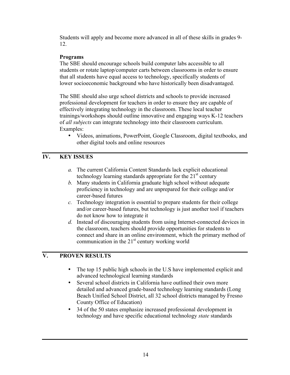Students will apply and become more advanced in all of these skills in grades 9- 12.

# **Programs**

The SBE should encourage schools build computer labs accessible to all students or rotate laptop/computer carts between classrooms in order to ensure that all students have equal access to technology, specifically students of lower socioeconomic background who have historically been disadvantaged.

The SBE should also urge school districts and schools to provide increased professional development for teachers in order to ensure they are capable of effectively integrating technology in the classroom. These local teacher trainings/workshops should outline innovative and engaging ways K-12 teachers of *all subjects* can integrate technology into their classroom curriculum. Examples:

• Videos, animations, PowerPoint, Google Classroom, digital textbooks, and other digital tools and online resources

# **IV. KEY ISSUES**

- *a.* The current California Content Standards lack explicit educational technology learning standards appropriate for the  $21<sup>st</sup>$  century
- *b.* Many students in California graduate high school without adequate proficiency in technology and are unprepared for their college and/or career-based futures
- *c.* Technology integration is essential to prepare students for their college and/or career-based futures, but technology is just another tool if teachers do not know how to integrate it
- *d.* Instead of discouraging students from using Internet-connected devices in the classroom, teachers should provide opportunities for students to connect and share in an online environment, which the primary method of communication in the  $21<sup>st</sup>$  century working world

# **V. PROVEN RESULTS**

- The top 15 public high schools in the U.S have implemented explicit and advanced technological learning standards
- Several school districts in California have outlined their own more detailed and advanced grade-based technology learning standards (Long Beach Unified School District, all 32 school districts managed by Fresno County Office of Education)
- 34 of the 50 states emphasize increased professional development in technology and have specific educational technology *state* standards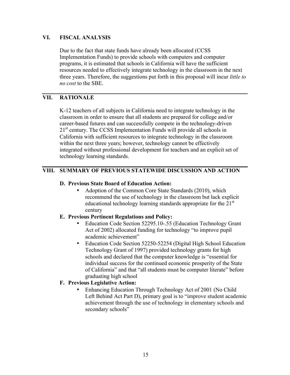#### **VI. FISCAL ANALYSIS**

Due to the fact that state funds have already been allocated (CCSS Implementation Funds) to provide schools with computers and computer programs, it is estimated that schools in California will have the sufficient resources needed to effectively integrate technology in the classroom in the next three years. Therefore, the suggestions put forth in this proposal will incur *little to no cost* to the SBE.

# **VII. RATIONALE**

K-12 teachers of all subjects in California need to integrate technology in the classroom in order to ensure that all students are prepared for college and/or career-based futures and can successfully compete in the technology-driven 21<sup>st</sup> century. The CCSS Implementation Funds will provide all schools in California with sufficient resources to integrate technology in the classroom within the next three years; however, technology cannot be effectively integrated without professional development for teachers and an explicit set of technology learning standards.

# **VIII. SUMMARY OF PREVIOUS STATEWIDE DISCUSSION AND ACTION**

#### **D. Previous State Board of Education Action:**

• Adoption of the Common Core State Standards (2010), which recommend the use of technology in the classroom but lack explicit educational technology learning standards appropriate for the  $21<sup>st</sup>$ century

#### **E. Previous Pertinent Regulations and Policy:**

- Education Code Section 52295.10-.55 (Education Technology Grant Act of 2002) allocated funding for technology "to improve pupil academic achievement"
- Education Code Section 52250-52254 (Digital High School Education Technology Grant of 1997) provided technology grants for high schools and declared that the computer knowledge is "essential for individual success for the continued economic prosperity of the State of California" and that "all students must be computer literate" before graduating high school

#### **F. Previous Legislative Action:**

• Enhancing Education Through Technology Act of 2001 (No Child Left Behind Act Part D), primary goal is to "improve student academic achievement through the use of technology in elementary schools and secondary schools"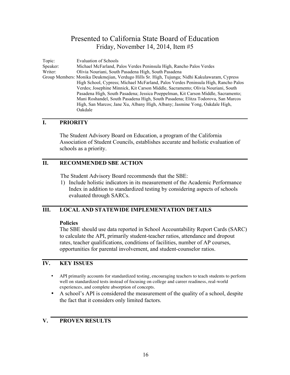Topic: Evaluation of Schools Speaker: Michael McFarland, Palos Verdes Peninsula High, Rancho Palos Verdes Writer: Olivia Nouriani, South Pasadena High, South Pasadena Group Members: Monika Deukmejian, Verdugo Hills Sr. High, Tujunga; Nidhi Kakulawaram, Cypress High School, Cypress; Michael McFarland, Palos Verdes Peninsula High, Rancho Palos Verdes; Josephine Minnick, Kit Carson Middle, Sacramento; Olivia Nouriani, South Pasadena High, South Pasadena; Jessica Poeppelman, Kit Carson Middle, Sacramento; Mani Roshandel, South Pasadena High, South Pasadena; Elitza Todorova, San Marcos High, San Marcos; Jane Xu, Albany High, Albany; Jasmine Yong, Oakdale High, Oakdale

#### **I. PRIORITY**

The Student Advisory Board on Education, a program of the California Association of Student Councils, establishes accurate and holistic evaluation of schools as a priority.

# **II. RECOMMENDED SBE ACTION**

The Student Advisory Board recommends that the SBE:

1) Include holistic indicators in its measurement of the Academic Performance Index in addition to standardized testing by considering aspects of schools evaluated through SARCs.

# **III. LOCAL AND STATEWIDE IMPLEMENTATION DETAILS**

#### **Policies**

The SBE should use data reported in School Accountability Report Cards (SARC) to calculate the API, primarily student-teacher ratios, attendance and dropout rates, teacher qualifications, conditions of facilities, number of AP courses, opportunities for parental involvement, and student-counselor ratios.

#### **IV. KEY ISSUES**

- API primarily accounts for standardized testing, encouraging teachers to teach students to perform well on standardized tests instead of focusing on college and career readiness, real-world experiences, and complete absorption of concepts.
- A school's API is considered the measurement of the quality of a school, despite the fact that it considers only limited factors.

#### **V. PROVEN RESULTS**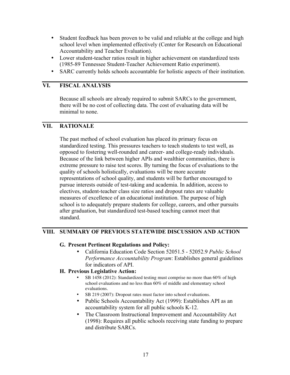- Student feedback has been proven to be valid and reliable at the college and high school level when implemented effectively (Center for Research on Educational Accountability and Teacher Evaluation).
- Lower student-teacher ratios result in higher achievement on standardized tests (1985-89 Tennessee Student-Teacher Achievement Ratio experiment).
- SARC currently holds schools accountable for holistic aspects of their institution.

# **VI. FISCAL ANALYSIS**

Because all schools are already required to submit SARCs to the government, there will be no cost of collecting data. The cost of evaluating data will be minimal to none.

#### **VII. RATIONALE**

The past method of school evaluation has placed its primary focus on standardized testing. This pressures teachers to teach students to test well, as opposed to fostering well-rounded and career- and college-ready individuals. Because of the link between higher APIs and wealthier communities, there is extreme pressure to raise test scores. By turning the focus of evaluations to the quality of schools holistically, evaluations will be more accurate representations of school quality, and students will be further encouraged to pursue interests outside of test-taking and academia. In addition, access to electives, student-teacher class size ratios and dropout rates are valuable measures of excellence of an educational institution. The purpose of high school is to adequately prepare students for college, careers, and other pursuits after graduation, but standardized test-based teaching cannot meet that standard.

#### **VIII. SUMMARY OF PREVIOUS STATEWIDE DISCUSSION AND ACTION**

#### **G. Present Pertinent Regulations and Policy:**

• California Education Code Section 52051.5 - 52052.9 *Public School Performance Accountability Program*: Establishes general guidelines for indicators of API.

#### **H. Previous Legislative Action:**

- SB 1458 (2012): Standardized testing must comprise no more than 60% of high school evaluations and no less than 60% of middle and elementary school evaluations.
- SB 219 (2007): Dropout rates must factor into school evaluations.
- Public Schools Accountability Act (1999): Establishes API as an accountability system for all public schools K-12.
- The Classroom Instructional Improvement and Accountability Act (1998): Requires all public schools receiving state funding to prepare and distribute SARCs.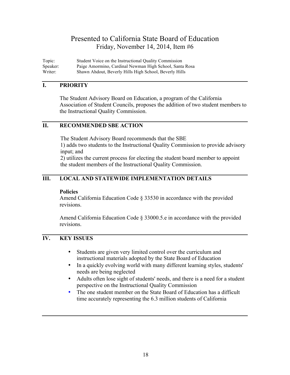Topic: Student Voice on the Instructional Quality Commission Speaker: Paige Amormino, Cardinal Newman High School, Santa Rosa Writer: Shawn Ahdout, Beverly Hills High School, Beverly Hills

#### **I. PRIORITY**

The Student Advisory Board on Education, a program of the California Association of Student Councils, proposes the addition of two student members to the Instructional Quality Commission.

#### **II. RECOMMENDED SBE ACTION**

The Student Advisory Board recommends that the SBE 1) adds two students to the Instructional Quality Commission to provide advisory input; and

2) utilizes the current process for electing the student board member to appoint the student members of the Instructional Quality Commission.

#### **III. LOCAL AND STATEWIDE IMPLEMENTATION DETAILS**

#### **Policies**

Amend California Education Code § 33530 in accordance with the provided revisions.

Amend California Education Code § 33000.5.e in accordance with the provided revisions.

# **IV. KEY ISSUES**

- Students are given very limited control over the curriculum and instructional materials adopted by the State Board of Education
- In a quickly evolving world with many different learning styles, students' needs are being neglected
- Adults often lose sight of students' needs, and there is a need for a student perspective on the Instructional Quality Commission
- The one student member on the State Board of Education has a difficult time accurately representing the 6.3 million students of California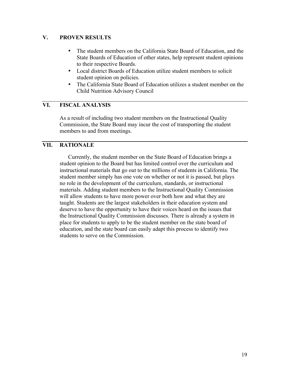#### **V. PROVEN RESULTS**

- The student members on the California State Board of Education, and the State Boards of Education of other states, help represent student opinions to their respective Boards.
- Local district Boards of Education utilize student members to solicit student opinion on policies.
- The California State Board of Education utilizes a student member on the Child Nutrition Advisory Council

# **VI. FISCAL ANALYSIS**

As a result of including two student members on the Instructional Quality Commission, the State Board may incur the cost of transporting the student members to and from meetings.

#### **VII. RATIONALE**

Currently, the student member on the State Board of Education brings a student opinion to the Board but has limited control over the curriculum and instructional materials that go out to the millions of students in California. The student member simply has one vote on whether or not it is passed, but plays no role in the development of the curriculum, standards, or instructional materials. Adding student members to the Instructional Quality Commission will allow students to have more power over both how and what they are taught. Students are the largest stakeholders in their education system and deserve to have the opportunity to have their voices heard on the issues that the Instructional Quality Commission discusses. There is already a system in place for students to apply to be the student member on the state board of education, and the state board can easily adapt this process to identify two students to serve on the Commission.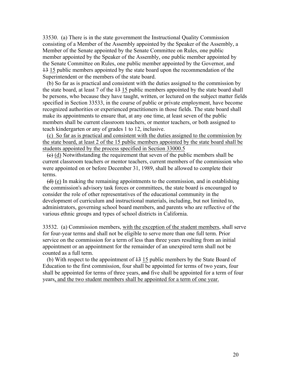33530. (a) There is in the state government the Instructional Quality Commission consisting of a Member of the Assembly appointed by the Speaker of the Assembly, a Member of the Senate appointed by the Senate Committee on Rules, one public member appointed by the Speaker of the Assembly, one public member appointed by the Senate Committee on Rules, one public member appointed by the Governor, and 13 15 public members appointed by the state board upon the recommendation of the Superintendent or the members of the state board.

 (b) So far as is practical and consistent with the duties assigned to the commission by the state board, at least 7 of the  $13$  15 public members appointed by the state board shall be persons, who because they have taught, written, or lectured on the subject matter fields specified in Section 33533, in the course of public or private employment, have become recognized authorities or experienced practitioners in those fields. The state board shall make its appointments to ensure that, at any one time, at least seven of the public members shall be current classroom teachers, or mentor teachers, or both assigned to teach kindergarten or any of grades 1 to 12, inclusive.

 (c) So far as is practical and consistent with the duties assigned to the commission by the state board, at least 2 of the 15 public members appointed by the state board shall be students appointed by the process specified in Section 33000.5

 $\left(\frac{e}{c}\right)$  (d) Notwithstanding the requirement that seven of the public members shall be current classroom teachers or mentor teachers, current members of the commission who were appointed on or before December 31, 1989, shall be allowed to complete their terms.

 $(d)$  (e) In making the remaining appointments to the commission, and in establishing the commission's advisory task forces or committees, the state board is encouraged to consider the role of other representatives of the educational community in the development of curriculum and instructional materials, including, but not limited to, administrators, governing school board members, and parents who are reflective of the various ethnic groups and types of school districts in California.

33532. (a) Commission members, with the exception of the student members, shall serve for four-year terms and shall not be eligible to serve more than one full term. Prior service on the commission for a term of less than three years resulting from an initial appointment or an appointment for the remainder of an unexpired term shall not be counted as a full term.

 (b) With respect to the appointment of 13 15 public members by the State Board of Education to the first commission, four shall be appointed for terms of two years, four shall be appointed for terms of three years, and five shall be appointed for a term of four years, and the two student members shall be appointed for a term of one year.